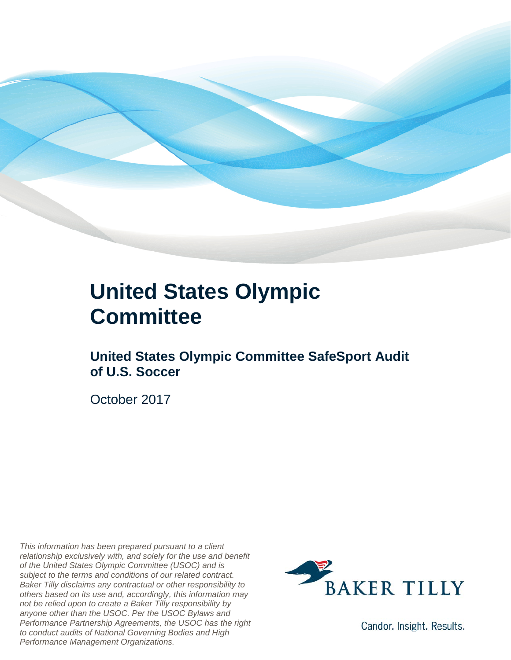

### **United States Olympic Committee**

**United States Olympic Committee SafeSport Audit of U.S. Soccer** 

October 2017

*This information has been prepared pursuant to a client relationship exclusively with, and solely for the use and benefit of the United States Olympic Committee (USOC) and is subject to the terms and conditions of our related contract. Baker Tilly disclaims any contractual or other responsibility to others based on its use and, accordingly, this information may not be relied upon to create a Baker Tilly responsibility by anyone other than the USOC. Per the USOC Bylaws and Performance Partnership Agreements, the USOC has the right to conduct audits of National Governing Bodies and High Performance Management Organizations.*



Candor. Insight. Results.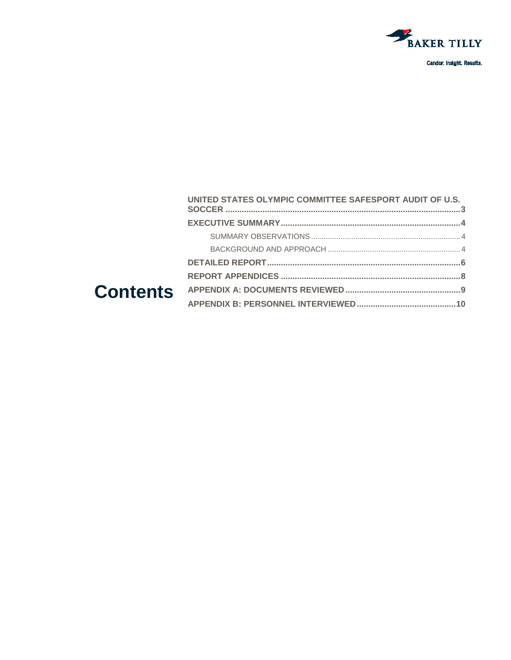

| UNITED STATES OLYMPIC COMMITTEE SAFESPORT AUDIT OF U.S. |  |
|---------------------------------------------------------|--|
|                                                         |  |
|                                                         |  |
|                                                         |  |
|                                                         |  |
|                                                         |  |
|                                                         |  |
|                                                         |  |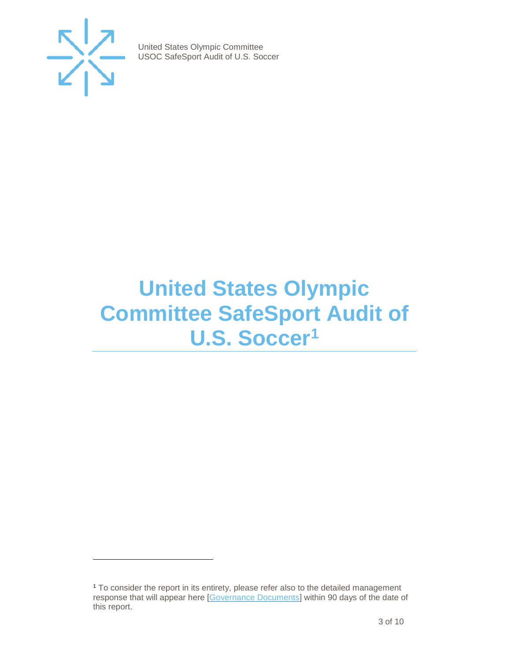

j

United States Olympic Committee USOC SafeSport Audit of U.S. Soccer

## <span id="page-2-0"></span>**United States Olympic Committee SafeSport Audit of U.S. Soccer[1](#page-2-1)**

<span id="page-2-1"></span><sup>1</sup> To consider the report in its entirety, please refer also to the detailed management response that will appear here [\[Governance Documents\]](https://www.teamusa.org/Footer/Legal/Governance-Documents) within 90 days of the date of this report.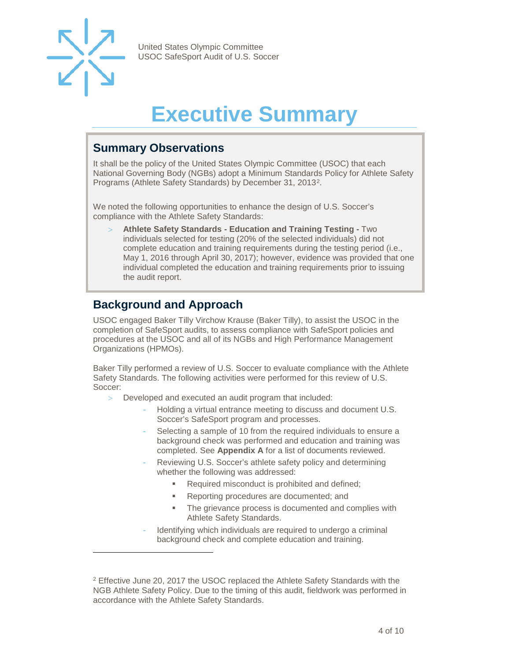

j

United States Olympic Committee USOC SafeSport Audit of U.S. Soccer

# **Executive Summary**

#### <span id="page-3-1"></span><span id="page-3-0"></span>**Summary Observations**

It shall be the policy of the United States Olympic Committee (USOC) that each National Governing Body (NGBs) adopt a Minimum Standards Policy for Athlete Safety Programs (Athlete Safety Standards) by December 31, 2013[2](#page-3-3).

We noted the following opportunities to enhance the design of U.S. Soccer's compliance with the Athlete Safety Standards:

> **Athlete Safety Standards - Education and Training Testing -** Two individuals selected for testing (20% of the selected individuals) did not complete education and training requirements during the testing period (i.e., May 1, 2016 through April 30, 2017); however, evidence was provided that one individual completed the education and training requirements prior to issuing the audit report.

#### <span id="page-3-2"></span>**Background and Approach**

USOC engaged Baker Tilly Virchow Krause (Baker Tilly), to assist the USOC in the completion of SafeSport audits, to assess compliance with SafeSport policies and procedures at the USOC and all of its NGBs and High Performance Management Organizations (HPMOs).

Baker Tilly performed a review of U.S. Soccer to evaluate compliance with the Athlete Safety Standards. The following activities were performed for this review of U.S. Soccer:

- > Developed and executed an audit program that included:
	- Holding a virtual entrance meeting to discuss and document U.S. Soccer's SafeSport program and processes.
	- Selecting a sample of 10 from the required individuals to ensure a background check was performed and education and training was completed. See **Appendix A** for a list of documents reviewed.
	- Reviewing U.S. Soccer's athlete safety policy and determining whether the following was addressed:
		- Required misconduct is prohibited and defined;
		- **Reporting procedures are documented; and**
		- The grievance process is documented and complies with Athlete Safety Standards.
	- Identifying which individuals are required to undergo a criminal background check and complete education and training.

<span id="page-3-3"></span><sup>2</sup> Effective June 20, 2017 the USOC replaced the Athlete Safety Standards with the NGB Athlete Safety Policy. Due to the timing of this audit, fieldwork was performed in accordance with the Athlete Safety Standards.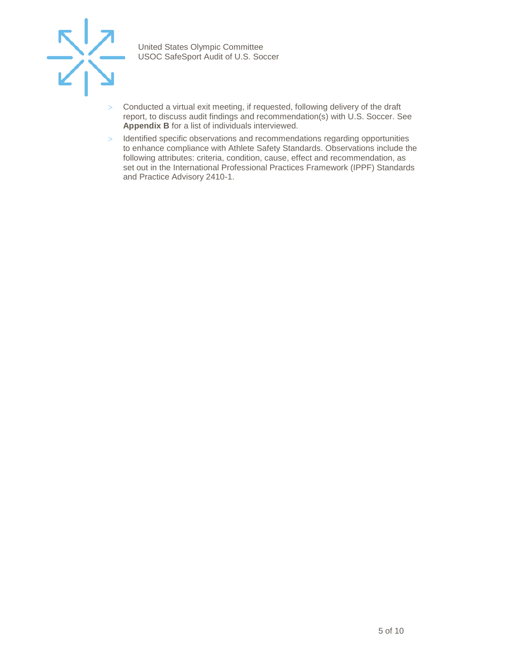

- > Conducted a virtual exit meeting, if requested, following delivery of the draft report, to discuss audit findings and recommendation(s) with U.S. Soccer. See **Appendix B** for a list of individuals interviewed.
- > Identified specific observations and recommendations regarding opportunities to enhance compliance with Athlete Safety Standards. Observations include the following attributes: criteria, condition, cause, effect and recommendation, as set out in the International Professional Practices Framework (IPPF) Standards and Practice Advisory 2410-1.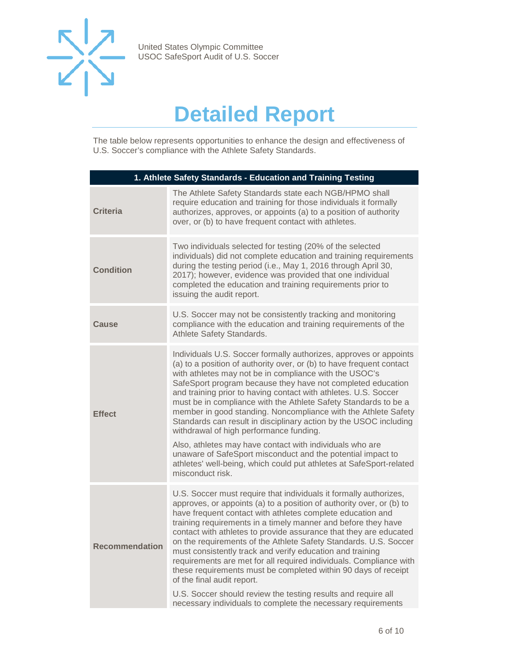

# **Detailed Report**

<span id="page-5-0"></span>The table below represents opportunities to enhance the design and effectiveness of U.S. Soccer's compliance with the Athlete Safety Standards.

| 1. Athlete Safety Standards - Education and Training Testing |                                                                                                                                                                                                                                                                                                                                                                                                                                                                                                                                                                                                                                                                                                                                                                                                                  |  |
|--------------------------------------------------------------|------------------------------------------------------------------------------------------------------------------------------------------------------------------------------------------------------------------------------------------------------------------------------------------------------------------------------------------------------------------------------------------------------------------------------------------------------------------------------------------------------------------------------------------------------------------------------------------------------------------------------------------------------------------------------------------------------------------------------------------------------------------------------------------------------------------|--|
| <b>Criteria</b>                                              | The Athlete Safety Standards state each NGB/HPMO shall<br>require education and training for those individuals it formally<br>authorizes, approves, or appoints (a) to a position of authority<br>over, or (b) to have frequent contact with athletes.                                                                                                                                                                                                                                                                                                                                                                                                                                                                                                                                                           |  |
| <b>Condition</b>                                             | Two individuals selected for testing (20% of the selected<br>individuals) did not complete education and training requirements<br>during the testing period (i.e., May 1, 2016 through April 30,<br>2017); however, evidence was provided that one individual<br>completed the education and training requirements prior to<br>issuing the audit report.                                                                                                                                                                                                                                                                                                                                                                                                                                                         |  |
| <b>Cause</b>                                                 | U.S. Soccer may not be consistently tracking and monitoring<br>compliance with the education and training requirements of the<br>Athlete Safety Standards.                                                                                                                                                                                                                                                                                                                                                                                                                                                                                                                                                                                                                                                       |  |
| <b>Effect</b>                                                | Individuals U.S. Soccer formally authorizes, approves or appoints<br>(a) to a position of authority over, or (b) to have frequent contact<br>with athletes may not be in compliance with the USOC's<br>SafeSport program because they have not completed education<br>and training prior to having contact with athletes. U.S. Soccer<br>must be in compliance with the Athlete Safety Standards to be a<br>member in good standing. Noncompliance with the Athlete Safety<br>Standards can result in disciplinary action by the USOC including<br>withdrawal of high performance funding.<br>Also, athletes may have contact with individuals who are<br>unaware of SafeSport misconduct and the potential impact to<br>athletes' well-being, which could put athletes at SafeSport-related<br>misconduct risk. |  |
| <b>Recommendation</b>                                        | U.S. Soccer must require that individuals it formally authorizes,<br>approves, or appoints (a) to a position of authority over, or (b) to<br>have frequent contact with athletes complete education and<br>training requirements in a timely manner and before they have<br>contact with athletes to provide assurance that they are educated<br>on the requirements of the Athlete Safety Standards. U.S. Soccer<br>must consistently track and verify education and training<br>requirements are met for all required individuals. Compliance with<br>these requirements must be completed within 90 days of receipt<br>of the final audit report.<br>U.S. Soccer should review the testing results and require all<br>necessary individuals to complete the necessary requirements                            |  |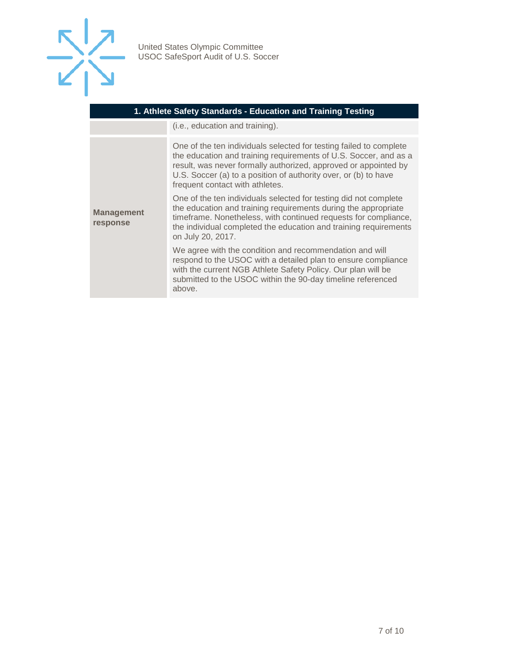

| 1. Athlete Safety Standards - Education and Training Testing |                                                                                                                                                                                                                                                                                                                 |  |
|--------------------------------------------------------------|-----------------------------------------------------------------------------------------------------------------------------------------------------------------------------------------------------------------------------------------------------------------------------------------------------------------|--|
|                                                              | (i.e., education and training).                                                                                                                                                                                                                                                                                 |  |
| <b>Management</b><br>response                                | One of the ten individuals selected for testing failed to complete<br>the education and training requirements of U.S. Soccer, and as a<br>result, was never formally authorized, approved or appointed by<br>U.S. Soccer (a) to a position of authority over, or (b) to have<br>frequent contact with athletes. |  |
|                                                              | One of the ten individuals selected for testing did not complete<br>the education and training requirements during the appropriate<br>timeframe. Nonetheless, with continued requests for compliance,<br>the individual completed the education and training requirements<br>on July 20, 2017.                  |  |
|                                                              | We agree with the condition and recommendation and will<br>respond to the USOC with a detailed plan to ensure compliance<br>with the current NGB Athlete Safety Policy. Our plan will be<br>submitted to the USOC within the 90-day timeline referenced<br>above.                                               |  |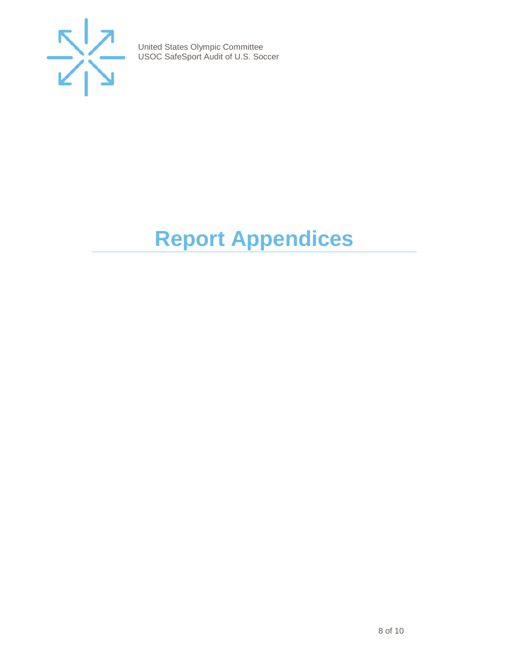

# <span id="page-7-0"></span>**Report Appendices**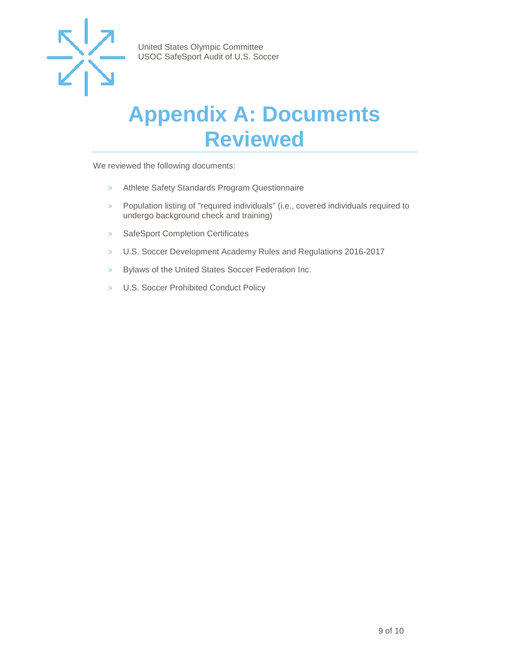

### <span id="page-8-0"></span>**Appendix A: Documents Reviewed**

We reviewed the following documents:

- > Athlete Safety Standards Program Questionnaire
- > Population listing of "required individuals" (i.e., covered individuals required to undergo background check and training)
- > SafeSport Completion Certificates
- > U.S. Soccer Development Academy Rules and Regulations 2016-2017
- > Bylaws of the United States Soccer Federation Inc.
- > U.S. Soccer Prohibited Conduct Policy